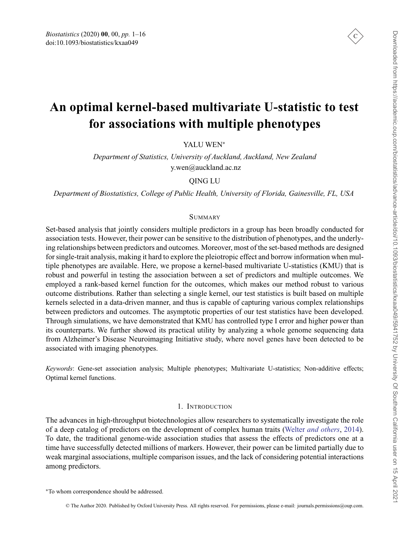

# **An optimal kernel-based multivariate U-statistic to test for associations with multiple phenotypes**

YALU WEN<sup>∗</sup>

*Department of Statistics, University of Auckland, Auckland, New Zealand* y.wen@auckland.ac.nz

QING LU

*Department of Biostatistics, College of Public Health, University of Florida, Gainesville, FL, USA*

## **SUMMARY**

Set-based analysis that jointly considers multiple predictors in a group has been broadly conducted for association tests. However, their power can be sensitive to the distribution of phenotypes, and the underlying relationships between predictors and outcomes. Moreover, most of the set-based methods are designed for single-trait analysis, making it hard to explore the pleiotropic effect and borrow information when multiple phenotypes are available. Here, we propose a kernel-based multivariate U-statistics (KMU) that is robust and powerful in testing the association between a set of predictors and multiple outcomes. We employed a rank-based kernel function for the outcomes, which makes our method robust to various outcome distributions. Rather than selecting a single kernel, our test statistics is built based on multiple kernels selected in a data-driven manner, and thus is capable of capturing various complex relationships between predictors and outcomes. The asymptotic properties of our test statistics have been developed. Through simulations, we have demonstrated that KMU has controlled type I error and higher power than its counterparts. We further showed its practical utility by analyzing a whole genome sequencing data from Alzheimer's Disease Neuroimaging Initiative study, where novel genes have been detected to be associated with imaging phenotypes.

*Keywords*: Gene-set association analysis; Multiple phenotypes; Multivariate U-statistics; Non-additive effects; Optimal kernel functions.

#### 1. INTRODUCTION

The advances in high-throughput biotechnologies allow researchers to systematically investigate the role of a deep catalog of predictors on the development of complex human traits (Welter *[and others](#page-15-0)*, [2014](#page-15-0)). To date, the traditional genome-wide association studies that assess the effects of predictors one at a time have successfully detected millions of markers. However, their power can be limited partially due to weak marginal associations, multiple comparison issues, and the lack of considering potential interactions among predictors.

<sup>∗</sup>To whom correspondence should be addressed.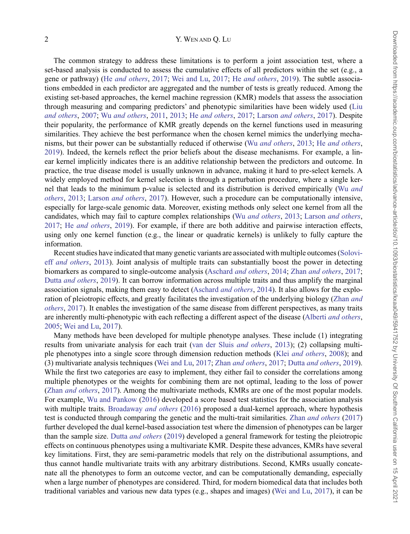## 2 Y. WEN AND Q. LU

The common strategy to address these limitations is to perform a joint association test, where a set-based analysis is conducted to assess the cumulative effects of all predictors within the set (e.g., a gene or pathway) (He *[and others](#page-14-0)*, [2017;](#page-14-0) [Wei and Lu](#page-15-0), [2017;](#page-15-0) He *[and others](#page-14-0)*, [2019](#page-14-0)). The subtle associations embedded in each predictor are aggregated and the number of tests is greatly reduced. Among the existing set-based approaches, the kernel machine regression (KMR) models that assess the association through m[easuring and comparing predictors' and phenotypic similarities have been widely used \(](#page-14-0)Liu *and others*, [2007](#page-14-0); Wu *[and others](#page-15-0)*, [2011,](#page-15-0) [2013;](#page-15-0) He *[and others](#page-14-0)*, [2017](#page-14-0); Larson *[and others](#page-14-0)*, [2017\)](#page-14-0). Despite their popularity, the performance of KMR greatly depends on the kernel functions used in measuring similarities. They achieve the best performance when the chosen kernel mimics the underlying mechanisms, but their power can be substantially reduced if otherwise (Wu *[and others](#page-15-0)*, [2013;](#page-15-0) He *[and others](#page-14-0)*, [2019](#page-14-0)). Indeed, the kernels reflect the prior beliefs about the disease mechanisms. For example, a linear kernel implicitly indicates there is an additive relationship between the predictors and outcome. In practice, the true disease model is usually unknown in advance, making it hard to pre-select kernels. A widely employed method for kernel selection is through a perturbation procedure, where a single kernel th[at leads to the minimum p-value is selected and its distribution is derived empirically \(](#page-15-0)Wu *and others*, [2013;](#page-15-0) Larson *[and others](#page-14-0)*, [2017\)](#page-14-0). However, such a procedure can be computationally intensive, especially for large-scale genomic data. Moreover, existing methods only select one kernel from all the candidates, which may fail to capture complex relationships (Wu *[and others](#page-15-0)*, [2013;](#page-15-0) Larson *[and others](#page-14-0)*, [2017](#page-14-0); He *[and others](#page-14-0)*, [2019\)](#page-14-0). For example, if there are both additive and pairwise interaction effects, using only one kernel function (e.g., the linear or quadratic kernels) is unlikely to fully capture the information.

Recent stu[dies](#page-15-0) [have](#page-15-0) [indicated](#page-15-0) [that](#page-15-0) [many](#page-15-0) [genetic](#page-15-0) [variants](#page-15-0) [are](#page-15-0) [associated](#page-15-0) [with](#page-15-0) [multiple](#page-15-0) [outcomes](#page-15-0) [\(](#page-15-0)Solovieff *and others*, [2013\)](#page-15-0). Joint analysis of multiple traits can substantially boost the power in detecting biomarkers as compared to single-outcome analysis (Aschard *[and others](#page-13-0)*, [2014;](#page-13-0) Zhan *[and others](#page-15-0)*, [2017;](#page-15-0) Dutta *[and others](#page-14-0)*, [2019](#page-14-0)). It can borrow information across multiple traits and thus amplify the marginal association signals, making them easy to detect (Aschard *[and others](#page-13-0)*, [2014\)](#page-13-0). It also allows for the exploration [of pleiotropic effects, and greatly facilitates the investigation of the underlying biology \(](#page-15-0)Zhan *and others*, [2017](#page-15-0)). It enables the investigation of the same disease from different perspectives, as many traits are inherently multi-phenotypic with each reflecting a different aspect of the disease (Alberti *[and others](#page-13-0)*, [2005](#page-13-0); [Wei and Lu](#page-15-0), [2017](#page-15-0)).

Many methods have been developed for multiple phenotype analyses. These include (1) integrating results from univariate analysis for each trait [\(van der Sluis](#page-15-0) *and others*, [2013](#page-15-0)); (2) collapsing multiple phenotypes into a single score through dimension reduction methods (Klei *[and others](#page-14-0)*, [2008\)](#page-14-0); and (3) multivariate analysis techniques [\(Wei and Lu](#page-15-0), [2017;](#page-15-0) Zhan *[and others](#page-15-0)*, [2017](#page-15-0); Dutta *[and others](#page-14-0)*, [2019\)](#page-14-0). While the first two categories are easy to implement, they either fail to consider the correlations among multiple phenotypes or the weights for combining them are not optimal, leading to the loss of power (Zhan *[and others](#page-15-0)*, [2017](#page-15-0)). Among the multivariate methods, KMRs are one of the most popular models. For example, [Wu and Pankow](#page-15-0) [\(2016](#page-15-0)) developed a score based test statistics for the association analysis with multiple traits. [Broadaway](#page-13-0) *and others* [\(2016](#page-13-0)) proposed a dual-kernel approach, where hypothesis test is conducted through comparing the genetic and the multi-trait similarities. Zhan *[and others](#page-15-0)* [\(2017](#page-15-0)) further developed the dual kernel-based association test where the dimension of phenotypes can be larger than the sample size. Dutta *[and others](#page-14-0)* [\(2019\)](#page-14-0) developed a general framework for testing the pleiotropic effects on continuous phenotypes using a multivariate KMR. Despite these advances, KMRs have several key limitations. First, they are semi-parametric models that rely on the distributional assumptions, and thus cannot handle multivariate traits with any arbitrary distributions. Second, KMRs usually concatenate all the phenotypes to form an outcome vector, and can be computationally demanding, especially when a large number of phenotypes are considered. Third, for modern biomedical data that includes both traditional variables and various new data types (e.g., shapes and images) [\(Wei and Lu,](#page-15-0) [2017\)](#page-15-0), it can be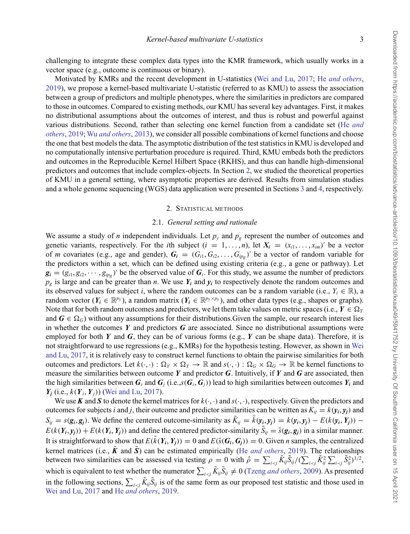challenging to integrate these complex data types into the KMR framework, which usually works in a vector space (e.g., outcome is continuous or binary).

Motivated by KMRs and the recent development in U-statistics [\(Wei and Lu](#page-15-0), [2017;](#page-15-0) He *[and others](#page-14-0)*, [2019\)](#page-14-0), we propose a kernel-based multivariate U-statistic (referred to as KMU) to assess the association between a group of predictors and multiple phenotypes, where the similarities in predictors are compared to those in outcomes. Compared to existing methods, our KMU has several key advantages. First, it makes no distributional assumptions about the outcomes of interest, and thus is robust and powerful against variou[s distributions. Second, rather than selecting one kernel function from a candidate set \(](#page-14-0)He *and others*, [2019](#page-14-0); Wu *[and others](#page-15-0)*, [2013\)](#page-15-0), we consider all possible combinations of kernel functions and choose the one that best models the data. The asymptotic distribution of the test statistics in KMU is developed and no computationally intensive perturbation procedure is required. Third, KMU embeds both the predictors and outcomes in the Reproducible Kernel Hilbert Space (RKHS), and thus can handle high-dimensional predictors and outcomes that include complex-objects. In Section 2, we studied the theoretical properties of KMU in a general setting, where asymptotic properties are derived. Results from simulation studies and a whole genome sequencing (WGS) data application were presented in Sections [3](#page-6-0) and [4,](#page-10-0) respectively.

#### 2. STATISTICAL METHODS

#### 2.1. *General setting and rationale*

We assume a study of *n* independent individuals. Let  $p_y$  and  $p_\sigma$  represent the number of outcomes and genetic variants, respectively. For the *i*th subject  $(i = 1, \ldots, n)$ , let  $X_i = (x_{i1}, \ldots, x_{im})'$  be a vector of *m* covariates (e.g., age and gender),  $G_i = (G_{i1}, G_{i2}, \ldots, G_{ip_g})'$  be a vector of random variable for the predictors within a set, which can be defined using existing criteria (e.g., a gene or pathway). Let  $g_i = (g_{i1}, g_{i2}, \dots, g_{i\nu})$  be the observed value of  $G_i$ . For this study, we assume the number of predictors  $p_g$  is large and can be greater than *n*. We use  $Y_i$  and  $y_i$  to respectively denote the random outcomes and its observed values for subject *i*, where the random outcomes can be a random variable (i.e.,  $Y_i \in \mathbb{R}$ ), a random vector ( $Y_i \in \mathbb{R}^{p_y}$ ), a random matrix ( $Y_i \in \mathbb{R}^{p_y \times p_y}$ ), and other data types (e.g., shapes or graphs). Note that for both random outcomes and predictors, we let them take values on metric spaces (i.e.,  $Y \in \Omega$ <sub>*Y*</sub> and  $G \in \Omega$ <sub>2</sub>) without any assumptions for their distributions Given the sample, our research interest lies and  $G \in \Omega_G$ ) without any assumptions for their distributions. Given the sample, our research interest lies<br>in whether the outcomes V and predictors G are associated. Since no distributional assumptions were in whether the outcomes  $Y$  and predictors  $G$  are associated. Since no distributional assumptions were employed for both *Y* and *G*, they can be of various forms (e.g., *Y* can be shape data). Therefore, it is not str[aightforward to use regressions \(e.g., KMRs\) for the hypothesis testing. However, as shown in](#page-15-0) Wei and Lu, [2017](#page-15-0), it is relatively easy to construct kernel functions to obtain the pairwise similarities for both outcomes and predictors. Let  $k(\cdot, \cdot)$ :  $\Omega_Y \times \Omega_Y \to \mathbb{R}$  and  $s(\cdot, \cdot)$ :  $\Omega_G \times \Omega_G \to \mathbb{R}$  be kernel functions to measure the similarities between outcome *Y* and predictor *G*. Intuitively, if *Y* and *G* are associated, then the high similarities between  $G_i$  and  $G_i$  (i.e., $s(G_i, G_j)$ ) lead to high similarities between outcomes  $Y_i$  and *Yj* (i.e., *<sup>k</sup>*(*Y<sup>i</sup>*, *<sup>Y</sup><sup>j</sup>*)) [\(Wei and Lu](#page-15-0), [2017](#page-15-0)).

We use *K* and *S* to denote the kernel matrices for  $k(\cdot, \cdot)$  and  $s(\cdot, \cdot)$ , respectively. Given the predictors and outcomes for subjects *i* and *j*, their outcome and predictor similarities can be written as  $K_{ij} = k(\mathbf{y}_i, \mathbf{y}_i)$  and  $S_{ij} = s(\mathbf{g}_i, \mathbf{g}_j)$ . We define the centered outcome-similarity as  $\tilde{K}_{ij} = \tilde{k}(\mathbf{y}_i, \mathbf{y}_j) = k(\mathbf{y}_i, \mathbf{y}_j) - E(k(\mathbf{y}_i, \mathbf{Y}_j)) - E(k(\mathbf{y}_i, \mathbf{Y}_j)) - E(k(\mathbf{y}_i, \mathbf{Y}_j))$  on define the centered predictor similarit  $E(k(Y_i, y_i)) + E(k(Y_i, Y_i))$  and define the centered predictor-similarity  $\tilde{S}_{ij} = \tilde{s}(\mathbf{g}_i, \mathbf{g}_j)$  in a similar manner. It is straightforward to show that  $E(\tilde{k}(Y_i, Y_j)) = 0$  and  $E(\tilde{s}(G_i, G_j)) = 0$ . Given *n* samples, the centralized learnal metrics (i.e.,  $\tilde{k}$  and  $\tilde{s}$ ) can be astimated ampirically (He and others, 2010). The relationsh kernel matrices (i.e.,  $\tilde{\mathbf{K}}$  and  $\tilde{\mathbf{S}}$ ) can be estimated empirically (He *[and others](#page-14-0)*, [2019](#page-14-0)). The relationships between two similarities can be assessed via testing  $\rho = 0$  with  $\hat{\rho} = \sum_{i < j} \tilde{K}_{ij} \tilde{S}_{ij} / (\sum_{i < j} \tilde{K}_{ij}^2 \sum_{i < j} \tilde{S}_{ij}^2)^{1/2}$ , which is equivalent to test whether the numerator  $\sum_{i\leq j} \tilde{K}_{ij} \tilde{S}_{ij} \neq 0$  (Tzeng *[and others](#page-15-0)*, [2009](#page-15-0)). As presented in the following sections,  $\sum_{i \le j} \tilde{K}_{ij} \tilde{S}_{ij}$  is of the same form as our proposed test statistic and those used in [Wei and Lu,](#page-15-0) [2017](#page-15-0) and He *[and others](#page-14-0)*, [2019](#page-14-0).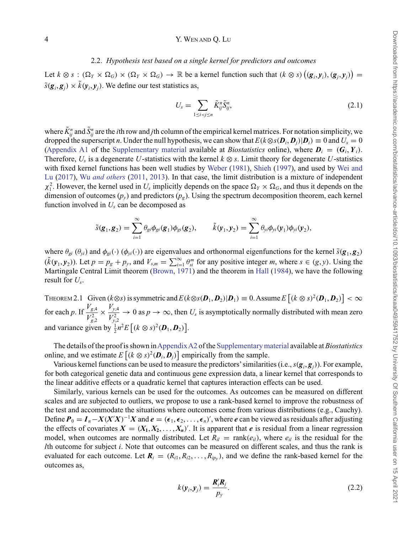#### <span id="page-3-0"></span>4 Y. WEN AND Q. LU

### 2.2. *Hypothesis test based on a single kernel for predictors and outcomes*

Let  $k \otimes s : (\Omega_Y \times \Omega_G) \times (\Omega_Y \times \Omega_G) \to \mathbb{R}$  be a kernel function such that  $(k \otimes s) ((g_i, y_i), (g_j, y_j)) =$  $\tilde{s}(\mathbf{g}_i, \mathbf{g}_j) \times \tilde{k}(\mathbf{y}_i, \mathbf{y}_j)$ . We define our test statistics as,

$$
U_s = \sum_{1 \le i < j \le n} \tilde{K}_{ij}^n \tilde{S}_{ij}^n,\tag{2.1}
$$

where  $\tilde{K}^n_{ij}$  and  $\tilde{S}^n_{ij}$  are the *i*th row and *j*th column of the empirical kernel matrices. For notation simplicity, we dropped the superscript *n*. Under the null hypothesis, we can show that  $E(k \otimes s(\mathbf{D}_i, \mathbf{D}_i)|\mathbf{D}_i) \equiv 0$  and  $U_s = 0$ [\(Appendix A1](https://academic.oup.com/biostatistics/article-lookup/doi/10.1093/biostatistics/kxaa049#supplementary-data) of the [Supplementary material](https://academic.oup.com/biostatistics/article-lookup/doi/10.1093/biostatistics/kxaa049#supplementary-data) available at *Biostatistics* online), where  $D_i = (G_i, Y_i)$ . Therefore,  $U_s$  is a degenerate  $U$ -statistics with the kernel  $k \otimes s$ . Limit theory for degenerate  $U$ -statistics wi[th](#page-15-0) [fixed](#page-15-0) [kernel](#page-15-0) [functions](#page-15-0) [has](#page-15-0) [been](#page-15-0) [well](#page-15-0) [studies](#page-15-0) [by](#page-15-0) [Weber](#page-15-0) [\(1981\)](#page-15-0), [Shieh](#page-15-0) [\(1997\)](#page-15-0), and used by Wei and Lu [\(2017\)](#page-15-0), Wu *[and others](#page-15-0)* [\(2011](#page-15-0), [2013\)](#page-15-0). In that case, the limit distribution is a mixture of independent  $\chi_1^2$ . However, the kernel used in  $U_s$  implicitly depends on the space  $\Omega_Y \times \Omega_G$ , and thus it depends on the dimension of outcomes  $(p_y)$  and predictors  $(p_\nu)$ . Using the spectrum decomposition theorem, each kernel function involved in  $U_s$  can be decomposed as

$$
\tilde{s}(\mathbf{g}_1,\mathbf{g}_2)=\sum_{i=1}^{\infty}\theta_{gi}\phi_{gi}(\mathbf{g}_1)\phi_{gi}(\mathbf{g}_2),\qquad \tilde{k}(\mathbf{y}_1,\mathbf{y}_2)=\sum_{i=1}^{\infty}\theta_{yi}\phi_{yi}(\mathbf{y}_1)\phi_{yi}(\mathbf{y}_2),
$$

where  $\theta_{gi}$  ( $\theta_{vi}$ ) and  $\phi_{gi}(\cdot)$  ( $\phi_{vi}(\cdot)$ ) are eigenvalues and orthonormal eigenfunctions for the kernel  $\tilde{s}(\mathbf{g}_1, \mathbf{g}_2)$  $(\tilde{k}(\mathbf{y}_1, \mathbf{y}_2))$ . Let  $p = p_g + p_y$ , and  $V_{s,m} = \sum_{i=1}^{\infty} \theta_{si}^m$  for any positive integer *m*, where  $s \in (g, y)$ . Using the Martingale Central I imit theorem (Brown 1971) and the theorem in Hall (1984), we have the Martingale Central Limit theorem [\(Brown](#page-13-0), [1971](#page-13-0)) and the theorem in [Hall](#page-14-0) [\(1984](#page-14-0)), we have the following result for *Us*.

THEOREM 2.1 Given  $(k \otimes s)$  is symmetric and  $E(k \otimes s(\mathbf{D}_1, \mathbf{D}_2) | \mathbf{D}_1) \equiv 0$ . Assume  $E[(k \otimes s)^2(\mathbf{D}_1, \mathbf{D}_2)] < \infty$ for each *p*. If  $\frac{V_{g,4}}{V_{g,2}^2}$  $\times \frac{V_{y,4}}{V_{y,2}^2}$  $\rightarrow 0$  as  $p \rightarrow \infty$ , then  $U_s$  is asymptotically normally distributed with mean zero and variance given by  $\frac{1}{2}n^2E[(k \otimes s)^2(\mathbf{D}_1, \mathbf{D}_2)].$ 

The details of the proof is shown in[AppendixA2](https://academic.oup.com/biostatistics/article-lookup/doi/10.1093/biostatistics/kxaa049#supplementary-data) of the [Supplementary material](https://academic.oup.com/biostatistics/article-lookup/doi/10.1093/biostatistics/kxaa049#supplementary-data) available at *Biostatistics* online, and we estimate  $E[(k \otimes s)^2(\mathbf{D}_i, \mathbf{D}_j)]$  empirically from the sample.<br>Various kernel functions can be used to measure the predictors' similarities

Various kernel functions can be used to measure the predictors' similarities (i.e.,  $s(\mathbf{g}_i, \mathbf{g}_j)$ ). For example, both categorical genetic data and continuous gene expression data, a linear kernel that corresponds to for both categorical genetic data and continuous gene expression data, a linear kernel that corresponds to the linear additive effects or a quadratic kernel that captures interaction effects can be used.

Similarly, various kernels can be used for the outcomes. As outcomes can be measured on different scales and are subjected to outliers, we propose to use a rank-based kernel to improve the robustness of the test and accommodate the situations where outcomes come from various distributions (e.g., Cauchy). Define  $P_0 = I_n - X(X'X)^{-1}X$  and  $e = (\epsilon_1, \epsilon_2, \dots, \epsilon_n)'$ , where *e* can be viewed as residuals after adjusting the effects of covariates  $X - (X, X, Y)'$  It is apparent that *e* is residual from a linear recression the effects of covariates  $X = (X_1, X_2, \ldots, X_n)'$ . It is apparent that *e* is residual from a linear regression model, where our property of the residual for the model, when outcomes are normally distributed. Let  $R_{il}$  = rank( $e_{il}$ ), where  $e_{il}$  is the residual for the *l*th outcome for subject *i*. Note that outcomes can be measured on different scales, and thus the rank is evaluated for each outcome. Let  $R_i = (R_{i1}, R_{i2}, \ldots, R_{ip_v})$ , and we define the rank-based kernel for the outcomes as,

$$
k(\mathbf{y}_i, \mathbf{y}_j) = \frac{\mathbf{R}_i' \mathbf{R}_j}{p_{\mathbf{y}}}.
$$
\n(2.2)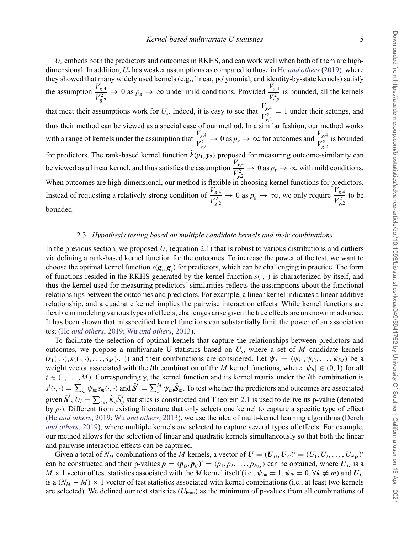*Us* embeds both the predictors and outcomes in RKHS, and can work well when both of them are highdimensional. In addition, *Us* has weaker assumptions as compared to those in He *[and others](#page-14-0)* [\(2019](#page-14-0)), where they showed that many widely used kernels (e.g., linear, polynomial, and identity-by-state kernels) satisfy the assumption  $\frac{V_{g,4}}{V_{g,2}^2}$  $\rightarrow$  0 as  $p_g \rightarrow \infty$  under mild conditions. Provided  $\frac{V_{y,4}}{V_{y,2}^2}$ is bounded, all the kernels that meet their assumptions work for  $U_s$ . Indeed, it is easy to see that  $\frac{V_{y,4}}{V_{y,2}^2}$ = 1 under their settings, and thus their method can be viewed as a special case of our method. In a similar fashion, our method works with a range of kernels under the assumption that  $\frac{V_{y,4}}{V_{y,2}^2}$  $\rightarrow 0$  as  $p_y \rightarrow \infty$  for outcomes and  $\frac{V_{g,4}}{V_{g,2}^2}$ is bounded for predictors. The rank-based kernel function  $\tilde{k}(\mathbf{y}_1, \mathbf{y}_2)$  proposed for measuring outcome-similarity can be viewed as a linear kernel, and thus satisfies the assumption  $\frac{V_{y,4}}{V_{y,2}^2} \to 0$  as  $p_y \to \infty$  with mild conditions. When outcomes are high-dimensional, our method is flexible in choosing kernel functions for predictors. Instead of requesting a relatively strong condition of  $\frac{V_{g,4}}{V_{g,2}^2}$  $\rightarrow$  0 as  $p_g \rightarrow \infty$ , we only require  $\frac{V_{g,4}}{V_{g,2}^2}$ to be bounded.

### 2.3. *Hypothesis testing based on multiple candidate kernels and their combinations*

In the previous section, we proposed *Us* (equation [2.1\)](#page-3-0) that is robust to various distributions and outliers via defining a rank-based kernel function for the outcomes. To increase the power of the test, we want to choose the optimal kernel function  $s(g_i, g_j)$  for predictors, which can be challenging in practice. The form<br>of functions resided in the RKHS generated by the kernel function  $s(.)$  is characterized by itself, and of functions resided in the RKHS generated by the kernel function  $s(\cdot, \cdot)$  is characterized by itself, and thus the kernel used for measuring predictors' similarities reflects the assumptions about the functional relationships between the outcomes and predictors. For example, a linear kernel indicates a linear additive relationship, and a quadratic kernel implies the pairwise interaction effects. While kernel functions are flexible in modeling various types of effects, challenges arise given the true effects are unknown in advance. It has been shown that misspecified kernel functions can substantially limit the power of an association test (He *[and others](#page-14-0)*, [2019;](#page-14-0) Wu *[and others](#page-15-0)*, [2013](#page-15-0)).

To facilitate the selection of optimal kernels that capture the relationships between predictors and outcomes, we propose a multivariate U-statistics based on  $U_s$ , where a set of  $M$  candidate kernels  $(s_1(\cdot,\cdot), s_2(\cdot,\cdot), \ldots, s_M(\cdot,\cdot))$  and their combinations are considered. Let  $\boldsymbol{\psi}_l = (\psi_{l1}, \psi_{l2}, \ldots, \psi_{lM})$  be a weight vector associated with the *l*th combination of the *M* kernel functions, where  $|\psi_{li}| \in (0, 1)$  for all  $j \in (1, \ldots, M)$ . Correspondingly, the kernel function and its kernel matrix under the *l*th combination is  $s^l(\cdot, \cdot) = \sum_m \psi_{lm} s_m(\cdot, \cdot)$  and  $\tilde{S}^l = \sum_m^M \psi_{lm} \tilde{S}_m$ . To test whether the predictors and outcomes are associated given  $\tilde{S}^l$ ,  $U_l = \sum_{i < j} \tilde{K}_{ij} \tilde{S}^l_{ij}$  statistics is constructed and Theorem [2.1](#page-3-0) is used to derive its p-value (denoted<br>by n.). Different from existing literature that only selects one kernel to canture a spe by  $p_l$ ). Different from existing literature that only selects one kernel to capture a specific type of effect (He *[and others](#page-14-0)*, [2019](#page-14-0); Wu *[and others](#page-15-0)*, [2013](#page-15-0)[\),](#page-13-0) [we](#page-13-0) [use](#page-13-0) [the](#page-13-0) [idea](#page-13-0) [of](#page-13-0) [multi-kernel](#page-13-0) [learning](#page-13-0) [algorithms](#page-13-0) [\(](#page-13-0)Dereli *and others*, [2019\)](#page-13-0), where multiple kernels are selected to capture several types of effects. For example, our method allows for the selection of linear and quadratic kernels simultaneously so that both the linear and pairwise interaction effects can be captured.

Given a total of  $N_M$  combinations of the *M* kernels, a vector of  $U = (U_O, U_C)' = (U_1, U_2, \dots, U_{N_M})'$ can be constructed and their p-values  $p = (p_0, p_c)' = (p_1, p_2, \dots, p_{N_M})$  can be obtained, where  $U_0$  is a  $M \times 1$  vector of test statistics associated with the *M* kernel itself (i.e.,  $\psi_{lm} = 1$ ,  $\psi_{lk} = 0$ ,  $\forall k \neq m$ ) and  $U_C$ is a  $(N_M - M) \times 1$  vector of test statistics associated with kernel combinations (i.e., at least two kernels are selected). We defined our test statistics (*U*kmu) as the minimum of p-values from all combinations of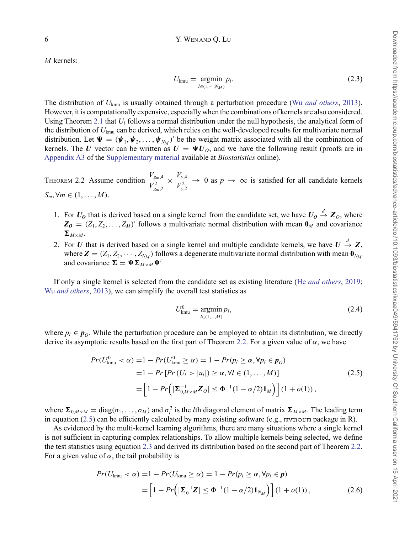<span id="page-5-0"></span>*M* kernels:

$$
U_{\text{kmu}} = \underset{l \in (1, \cdots, N_M)}{\text{argmin}} p_l. \tag{2.3}
$$

The distribution of *U*kmu is usually obtained through a perturbation procedure (Wu *[and others](#page-15-0)*, [2013\)](#page-15-0). However, it is computationally expensive, especially when the combinations of kernels are also considered. Using Theorem [2.1](#page-3-0) that *Ul* follows a normal distribution under the null hypothesis, the analytical form of the distribution of *U*kmu can be derived, which relies on the well-developed results for multivariate normal distribution. Let  $\Psi = (\psi_1, \psi_2, \dots, \psi_{N_M})'$  be the weight matrix associated with all the combination of kernels. The *U* vector can be written as  $U = \Psi U_o$ , and we have the following result (proofs are in [Appendix A3](https://academic.oup.com/biostatistics/article-lookup/doi/10.1093/biostatistics/kxaa049#supplementary-data) of the [Supplementary material](https://academic.oup.com/biostatistics/article-lookup/doi/10.1093/biostatistics/kxaa049#supplementary-data) available at *Biostatistics* online).

THEOREM 2.2 Assume condition  $\frac{V_{g_m,4}}{V_{g_m,2}^2}$  $\times \frac{V_{y,4}}{V_{y,2}^2}$  $\rightarrow$  0 as  $p \rightarrow \infty$  is satisfied for all candidate kernels  $S_m, \forall m$  ∈  $(1, \ldots, M)$ .

- 1. For *U<sub>O</sub>* that is derived based on a single kernel from the candidate set, we have  $U_0 \xrightarrow{d} Z_0$ , where  $Z_0 = (Z_1, Z_2, \ldots, Z_n)'$  follows a multivariate normal distribution with mean 0., and covariance  $\mathbf{Z_0} = (Z_1, Z_2, \dots, Z_M)$  follows a multivariate normal distribution with mean  $\mathbf{0}_M$  and covariance  $\Sigma_{M\times M}$ .
- 2. For *U* that is derived based on a single kernel and multiple candidate kernels, we have  $U \stackrel{d}{\rightarrow} Z$ , where  $Z = (Z, Z, \ldots, Z_n)$  follows a degenerate multivariate pormal distribution with mean 0. where  $\mathbf{Z} = (Z_1, Z_2, \cdots, Z_{N_M})$  follows a degenerate multivariate normal distribution with mean  $\mathbf{0}_{N_M}$ and covariance  $\Sigma = \Psi \Sigma_{M \times M} \Psi'$

If only a single kernel is selected from the candidate set as existing literature (He *[and others](#page-14-0)*, [2019;](#page-14-0) Wu *[and others](#page-15-0)*, [2013\)](#page-15-0), we can simplify the overall test statistics as

$$
U_{\text{kmu}}^{0} = \underset{l \in (1,...,M)}{\text{argmin}} p_{l}, \tag{2.4}
$$

where  $p_l \in \mathbf{p}_o$ . While the perturbation procedure can be employed to obtain its distribution, we directly derive its asymptotic results based on the first part of Theorem 2.2. For a given value of  $\alpha$ , we have

$$
Pr(U_{\text{kmu}}^{0} < \alpha) = 1 - Pr(U_{\text{kmu}}^{0} \ge \alpha) = 1 - Pr(p_{l} \ge \alpha, \forall p_{l} \in p_{O})
$$
  
= 1 - Pr [Pr(U\_{l} > |u\_{l}|) \ge \alpha, \forall l \in (1, ..., M)]  
= \left[ 1 - Pr\left( |\Sigma\_{0,M \times M}^{-1} \mathbf{Z}\_{O}| \le \Phi^{-1} (1 - \alpha/2) \mathbf{1}\_{M} \right) \right] (1 + o(1)), (2.5)

where  $\Sigma_{0,M\times M} = \text{diag}(\sigma_1,\ldots,\sigma_M)$  and  $\sigma_l^2$  is the *l*th diagonal element of matrix  $\Sigma_{M\times M}$ . The leading term in equation (2.5) can be efficiently calculated by many existing software (e.g., mvnorm package in R).

As evidenced by the multi-kernel learning algorithms, there are many situations where a single kernel is not sufficient in capturing complex relationships. To allow multiple kernels being selected, we define the test statistics using equation 2.3 and derived its distribution based on the second part of Theorem 2.2. For a given value of  $\alpha$ , the tail probability is

$$
Pr(U_{\text{kmu}} < \alpha) = 1 - Pr(U_{\text{kmu}} \ge \alpha) = 1 - Pr(p_l \ge \alpha, \forall p_l \in p)
$$
  
= 
$$
\left[1 - Pr\left(|\boldsymbol{\Sigma}_0^{-1}\boldsymbol{Z}| \le \Phi^{-1}(1 - \alpha/2)\boldsymbol{1}_{N_M}\right)\right](1 + o(1)),
$$
 (2.6)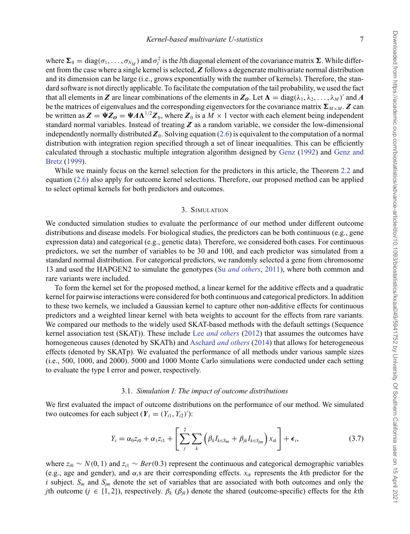<span id="page-6-0"></span>where  $\Sigma_0 = \text{diag}(\sigma_1, \ldots, \sigma_{N_M})$  and  $\sigma_l^2$  is the *l*th diagonal element of the covariance matrix  $\Sigma$ . While different from the case where a single kernel is selected, *Z* follows a degenerate multivariate normal distribution and its dimension can be large (i.e., grows exponentially with the number of kernels). Therefore, the standard software is not directly applicable. To facilitate the computation of the tail probability, we used the fact that all elements in **Z** are linear combinations of the elements in  $\mathbb{Z}_0$ . Let  $\Lambda = \text{diag}(\lambda_1, \lambda_2, \dots, \lambda_M)'$  and A be the matrices of eigenvalues and the corresponding eigenvectors for the covariance matrix  $\Sigma_{M \times M}$ .  $Z$  can be written as  $Z = \Psi Z_0 = \Psi A \Lambda^{1/2} Z_0$ , where  $Z_0$  is a  $M \times 1$  vector with each element being independent<br>standard normal variables. Instead of treating Z as a random variable, we consider the low-dimensional standard normal variables. Instead of treating *Z* as a random variable, we consider the low-dimensional independently normally distributed  $\mathbb{Z}_0$ . Solving equation [\(2.6\)](#page-5-0) is equivalent to the computation of a normal distribution with integration region specified through a set of linear inequalities. This can be efficiently calcu[lated through a stochastic multiple integration algorithm designed by](#page-14-0) [Genz](#page-14-0) [\(1992](#page-14-0)) and Genz and Bretz [\(1999](#page-14-0)).

While we mainly focus on the kernel selection for the predictors in this article, the Theorem [2.2](#page-5-0) and equation [\(2.6\)](#page-5-0) also apply for outcome kernel selections. Therefore, our proposed method can be applied to select optimal kernels for both predictors and outcomes.

#### 3. SIMULATION

We conducted simulation studies to evaluate the performance of our method under different outcome distributions and disease models. For biological studies, the predictors can be both continuous (e.g., gene expression data) and categorical (e.g., genetic data). Therefore, we considered both cases. For continuous predictors, we set the number of variables to be 30 and 100, and each predictor was simulated from a standard normal distribution. For categorical predictors, we randomly selected a gene from chromosome 13 and used the HAPGEN2 to simulate the genotypes (Su *[and others](#page-15-0)*, [2011](#page-15-0)), where both common and rare variants were included.

To form the kernel set for the proposed method, a linear kernel for the additive effects and a quadratic kernel for pairwise interactions were considered for both continuous and categorical predictors. In addition to these two kernels, we included a Gaussian kernel to capture other non-additive effects for continuous predictors and a weighted linear kernel with beta weights to account for the effects from rare variants. We compared our methods to the widely used SKAT-based methods with the default settings (Sequence kernel association test (SKAT)). These include Lee *[and others](#page-14-0)* [\(2012](#page-14-0)) that assumes the outcomes have homogeneous causes (denoted by SKATh) and Aschard *[and others](#page-13-0)* [\(2014\)](#page-13-0) that allows for heterogeneous effects (denoted by SKATp). We evaluated the performance of all methods under various sample sizes (i.e., 500, 1000, and 2000). 5000 and 1000 Monte Carlo simulations were conducted under each setting to evaluate the type I error and power, respectively.

## 3.1. *Simulation I: The impact of outcome distributions*

We first evaluated the impact of outcome distributions on the performance of our method. We simulated two outcomes for each subject  $(Y_i = (Y_{i1}, Y_{i2})')$ :

$$
Y_i = \alpha_0 z_{i0} + \alpha_1 z_{i1} + \left[ \sum_j^2 \sum_k \left( \beta_k I_{k \in S_m} + \beta_{jk} I_{k \in S_{jm}} \right) x_{ik} \right] + \epsilon_i,
$$
\n(3.7)

where *zi*<sup>0</sup> ∼ *N*(0, 1) and *zi*<sup>1</sup> ∼ *Ber*(0.3) represent the continuous and categorical demographic variables (e.g., age and gender), and  $\alpha_i$ s are their corresponding effects.  $x_{ik}$  represents the *k*th predictor for the *i* subject.  $S_m$  and  $S_{im}$  denote the set of variables that are associated with both outcomes and only the *j*th outcome (*j* ∈ {1, 2}), respectively.  $\beta_k$  ( $\beta_{jk}$ ) denote the shared (outcome-specific) effects for the *k*th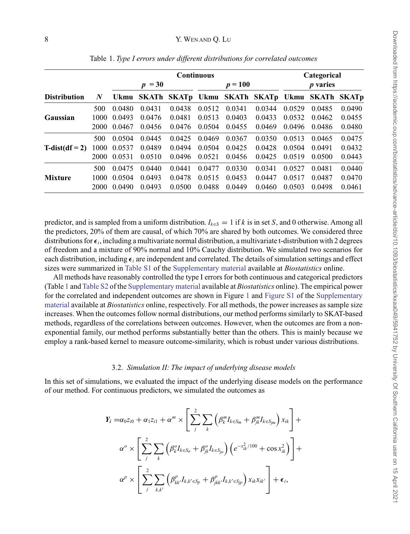|                         |                  | <b>Continuous</b> |        |                                                    |           |        |        | Categorical     |        |        |
|-------------------------|------------------|-------------------|--------|----------------------------------------------------|-----------|--------|--------|-----------------|--------|--------|
|                         |                  | $p = 30$          |        |                                                    | $p = 100$ |        |        | <i>p</i> varies |        |        |
| <b>Distribution</b>     | $\boldsymbol{N}$ |                   |        | Ukmu SKATh SKATp Ukmu SKATh SKATp Ukmu SKATh SKATp |           |        |        |                 |        |        |
|                         | 500              | 0.0480            | 0.0431 | 0.0438                                             | 0.0512    | 0.0341 | 0.0344 | 0.0529          | 0.0485 | 0.0490 |
| Gaussian                | 1000             | 0.0493            | 0.0476 | 0.0481                                             | 0.0513    | 0.0403 | 0.0433 | 0.0532          | 0.0462 | 0.0455 |
|                         | 2000             | 0.0467            | 0.0456 | 0.0476                                             | 0.0504    | 0.0455 | 0.0469 | 0.0496          | 0.0486 | 0.0480 |
| $T\text{-dist(df} = 2)$ | 500              | 0.0504            | 0.0445 | 0.0425                                             | 0.0469    | 0.0367 | 0.0350 | 0.0513          | 0.0465 | 0.0475 |
|                         | 1000             | 0.0537            | 0.0489 | 0.0494                                             | 0.0504    | 0.0425 | 0.0428 | 0.0504          | 0.0491 | 0.0432 |
|                         | 2000             | 0.0531            | 0.0510 | 0.0496                                             | 0.0521    | 0.0456 | 0.0425 | 0.0519          | 0.0500 | 0.0443 |
| <b>Mixture</b>          | 500              | 0.0475            | 0.0440 | 0.0441                                             | 0.0477    | 0.0330 | 0.0341 | 0.0527          | 0.0481 | 0.0440 |
|                         | 1000             | 0.0504            | 0.0493 | 0.0478                                             | 0.0515    | 0.0453 | 0.0447 | 0.0517          | 0.0487 | 0.0470 |
|                         | 2000             | 0.0490            | 0.0493 | 0.0500                                             | 0.0488    | 0.0449 | 0.0460 | 0.0503          | 0.0498 | 0.0461 |

Table 1. *Type I errors under different distributions for correlated outcomes*

predictor, and is sampled from a uniform distribution.  $I_{k \in S} = 1$  if *k* is in set *S*, and 0 otherwise. Among all the predictors, 20% of them are causal, of which 70% are shared by both outcomes. We considered three distributions for  $\epsilon_i$ , including a multivariate normal distribution, a multivariate t-distribution with 2 degrees of freedom and a mixture of 90% normal and 10% Cauchy distribution. We simulated two scenarios for each distribution, including  $\epsilon_i$  are independent and correlated. The details of simulation settings and effect sizes were summarized in [Table S1](https://academic.oup.com/biostatistics/article-lookup/doi/10.1093/biostatistics/kxaa049#supplementary-data) of the [Supplementary material](https://academic.oup.com/biostatistics/article-lookup/doi/10.1093/biostatistics/kxaa049#supplementary-data) available at *Biostatistics* online.

All methods have reasonably controlled the type I errors for both continuous and categorical predictors (Table 1 and [Table S2](https://academic.oup.com/biostatistics/article-lookup/doi/10.1093/biostatistics/kxaa049#supplementary-data) of the [Supplementary material](https://academic.oup.com/biostatistics/article-lookup/doi/10.1093/biostatistics/kxaa049#supplementary-data) available at *Biostatistics* online). The empirical power for the correlated and independent outcomes are shown in Figure [1](#page-8-0) and [Figure S1](https://academic.oup.com/biostatistics/article-lookup/doi/10.1093/biostatistics/kxaa049#supplementary-data) of the [Supplementary](https://academic.oup.com/biostatistics/article-lookup/doi/10.1093/biostatistics/kxaa049#supplementary-data) [material](https://academic.oup.com/biostatistics/article-lookup/doi/10.1093/biostatistics/kxaa049#supplementary-data) available at *Biostatistics* online, respectively. For all methods, the power increases as sample size increases. When the outcomes follow normal distributions, our method performs similarly to SKAT-based methods, regardless of the correlations between outcomes. However, when the outcomes are from a nonexponential family, our method performs substantially better than the others. This is mainly because we employ a rank-based kernel to measure outcome-similarity, which is robust under various distributions.

#### 3.2. *Simulation II: The impact of underlying disease models*

In this set of simulations, we evaluated the impact of the underlying disease models on the performance of our method. For continuous predictors, we simulated the outcomes as

$$
Y_i = \alpha_0 z_{i0} + \alpha_1 z_{i1} + \alpha^m \times \left[ \sum_j^2 \sum_k \left( \beta_k^m I_{k \in S_m} + \beta_{jk}^m I_{k \in S_{jm}} \right) x_{ik} \right] + \alpha^o \times \left[ \sum_j^2 \sum_k \left( \beta_k^o I_{k \in S_o} + \beta_{jk}^o I_{k \in S_{jo}} \right) \left( e^{-x_{ik}^2/100} + \cos x_{ik}^2 \right) \right] + \alpha^p \times \left[ \sum_j^2 \sum_{k,k'} \left( \beta_{kk'}^o I_{k,k' \in S_p} + \beta_{jkk'}^o I_{k,k' \in S_{jp}} \right) x_{ik} x_{ik'} \right] + \epsilon_i,
$$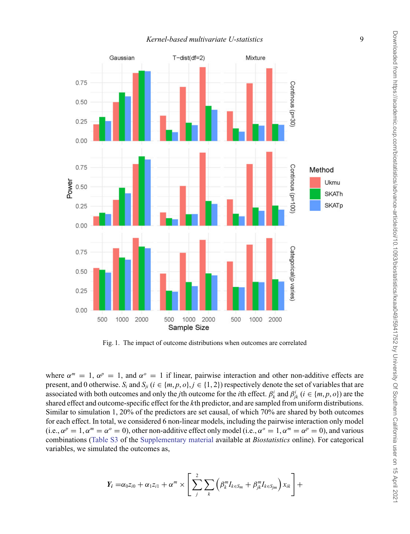<span id="page-8-0"></span>

Fig. 1. The impact of outcome distributions when outcomes are correlated

where  $\alpha^m = 1$ ,  $\alpha^p = 1$ , and  $\alpha^o = 1$  if linear, pairwise interaction and other non-additive effects are present, and 0 otherwise.  $S_i$  and  $S_{ji}$  ( $i \in \{m, p, o\}$ ,  $j \in \{1, 2\}$ ) respectively denote the set of variables that are associated with both outcomes and only the *j*th outcome for the *i*th effect.  $\beta_k^i$  and  $\beta_{jk}^i$  ( $i \in \{m, p, o\}$ ) are the shared effect and outcome-specific effect for the *k*th predictor, and are sampled from uniform distributions. Similar to simulation 1, 20% of the predictors are set causal, of which 70% are shared by both outcomes for each effect. In total, we considered 6 non-linear models, including the pairwise interaction only model (i.e.,  $\alpha^p = 1$ ,  $\alpha^m = \alpha^o = 0$ ), other non-additive effect only model (i.e.,  $\alpha^o = 1$ ,  $\alpha^m = \alpha^p = 0$ ), and various combinations [\(Table S3](https://academic.oup.com/biostatistics/article-lookup/doi/10.1093/biostatistics/kxaa049#supplementary-data) of the [Supplementary material](https://academic.oup.com/biostatistics/article-lookup/doi/10.1093/biostatistics/kxaa049#supplementary-data) available at *Biostatistics* online). For categorical variables, we simulated the outcomes as,

$$
Y_i = \alpha_0 z_{i0} + \alpha_1 z_{i1} + \alpha^m \times \left[ \sum_j^2 \sum_k \left( \beta_k^m I_{k \in S_m} + \beta_{jk}^m I_{k \in S_{jm}} \right) x_{ik} \right] +
$$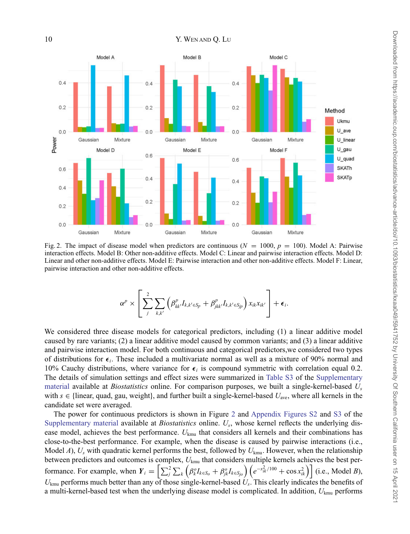

Fig. 2. The impact of disease model when predictors are continuous ( $N = 1000$ ,  $p = 100$ ). Model A: Pairwise interaction effects. Model B: Other non-additive effects. Model C: Linear and pairwise interaction effects. Model D: Linear and other non-additive effects. Model E: Pairwise interaction and other non-additive effects. Model F: Linear, pairwise interaction and other non-additive effects.

$$
\alpha^p \times \left[ \sum_j^2 \sum_{k,k'} \left( \beta_{kk'}^p I_{k,k' \in S_p} + \beta_{jkk'}^p I_{k,k' \in S_{jp}} \right) x_{ik} x_{ik'} \right] + \epsilon_i.
$$

We considered three disease models for categorical predictors, including (1) a linear additive model caused by rare variants; (2) a linear additive model caused by common variants; and (3) a linear additive and pairwise interaction model. For both continuous and categorical predictors,we considered two types of distributions for  $\epsilon_i$ . These included a multivariate normal as well as a mixture of 90% normal and 10% Cauchy distributions, where variance for  $\epsilon_i$  is compound symmetric with correlation equal 0.2. The details of simulation settings and effect sizes were summarized in [Table S3](https://academic.oup.com/biostatistics/article-lookup/doi/10.1093/biostatistics/kxaa049#supplementary-data) of the [Supplementary](https://academic.oup.com/biostatistics/article-lookup/doi/10.1093/biostatistics/kxaa049#supplementary-data) [material](https://academic.oup.com/biostatistics/article-lookup/doi/10.1093/biostatistics/kxaa049#supplementary-data) available at *Biostatistics* online. For comparison purposes, we built a single-kernel-based *Us* with  $s \in \{\text{linear, quad, gau, weight}\},\$  and further built a single-kernel-based  $U_{\text{ave}}$ , where all kernels in the candidate set were averaged.

The power for continuous predictors is shown in Figure 2 and [Appendix Figures S2](https://academic.oup.com/biostatistics/article-lookup/doi/10.1093/biostatistics/kxaa049#supplementary-data) and [S3](https://academic.oup.com/biostatistics/article-lookup/doi/10.1093/biostatistics/kxaa049#supplementary-data) of the [Supplementary material](https://academic.oup.com/biostatistics/article-lookup/doi/10.1093/biostatistics/kxaa049#supplementary-data) available at *Biostatistics* online. *Us*, whose kernel reflects the underlying disease model, achieves the best performance. *U*kmu that considers all kernels and their combinations has close-to-the-best performance. For example, when the disease is caused by pairwise interactions (i.e., Model *A*),  $U_s$  with quadratic kernel performs the best, followed by  $U_{kmu}$ . However, when the relationship between predictors and outcomes is complex, *U*kmu that considers multiple kernels achieves the best performance. For example, when  $Y_i = \left[\sum_{j}^{2} \sum_{k} \left(\beta_k^o I_{k \in S_o} + \beta_{jk}^o I_{k \in S_o}\right) \left(e^{-x_{ik}^2/100} + \cos x_{ik}^2\right)\right]$  (i.e., Model *B*), *U*kmu performs much better than any of those single-kernel-based *Us*. This clearly indicates the benefits of a multi-kernel-based test when the underlying disease model is complicated. In addition, *U*kmu performs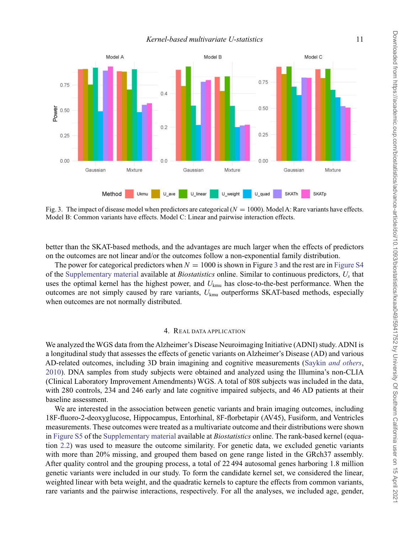*Kernel-based multivariate U-statistics* 11

<span id="page-10-0"></span>

Fig. 3. The impact of disease model when predictors are categorical  $(N = 1000)$ . Model A: Rare variants have effects. Model B: Common variants have effects. Model C: Linear and pairwise interaction effects.

better than the SKAT-based methods, and the advantages are much larger when the effects of predictors on the outcomes are not linear and/or the outcomes follow a non-exponential family distribution.

The power for categorical predictors when  $N = 1000$  is shown in Figure 3 and the rest are in [Figure S4](https://academic.oup.com/biostatistics/article-lookup/doi/10.1093/biostatistics/kxaa049#supplementary-data) of the [Supplementary material](https://academic.oup.com/biostatistics/article-lookup/doi/10.1093/biostatistics/kxaa049#supplementary-data) available at *Biostatistics* online. Similar to continuous predictors, *Us* that uses the optimal kernel has the highest power, and *U*kmu has close-to-the-best performance. When the outcomes are not simply caused by rare variants, *U*kmu outperforms SKAT-based methods, especially when outcomes are not normally distributed.

## 4. REAL DATA APPLICATION

We analyzed the WGS data from the Alzheimer's Disease Neuroimaging Initiative (ADNI) study. ADNI is a longitudinal study that assesses the effects of genetic variants on Alzheimer's Disease (AD) and various AD-related outcomes, including 3D brain imagining and cognitive measurements (Saykin *[and others](#page-14-0)*, [2010\)](#page-14-0). DNA samples from study subjects were obtained and analyzed using the Illumina's non-CLIA (Clinical Laboratory Improvement Amendments) WGS. A total of 808 subjects was included in the data, with 280 controls, 234 and 246 early and late cognitive impaired subjects, and 46 AD patients at their baseline assessment.

We are interested in the association between genetic variants and brain imaging outcomes, including 18F-fluoro-2-deoxyglucose, Hippocampus, Entorhinal, 8F-florbetapir (AV45), Fusiform, and Ventricles measurements. These outcomes were treated as a multivariate outcome and their distributions were shown in [Figure S5](https://academic.oup.com/biostatistics/article-lookup/doi/10.1093/biostatistics/kxaa049#supplementary-data) of the [Supplementary material](https://academic.oup.com/biostatistics/article-lookup/doi/10.1093/biostatistics/kxaa049#supplementary-data) available at *Biostatistics* online. The rank-based kernel (equation [2.2\)](#page-3-0) was used to measure the outcome similarity. For genetic data, we excluded genetic variants with more than 20% missing, and grouped them based on gene range listed in the GRch37 assembly. After quality control and the grouping process, a total of 22 494 autosomal genes harboring 1.8 million genetic variants were included in our study. To form the candidate kernel set, we considered the linear, weighted linear with beta weight, and the quadratic kernels to capture the effects from common variants, rare variants and the pairwise interactions, respectively. For all the analyses, we included age, gender,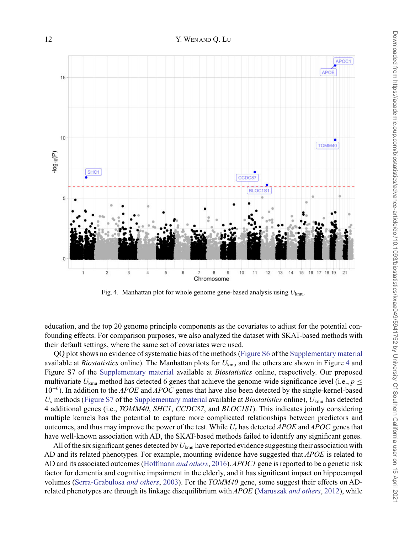

Fig. 4. Manhattan plot for whole genome gene-based analysis using *U*kmu.

education, and the top 20 genome principle components as the covariates to adjust for the potential confounding effects. For comparison purposes, we also analyzed the dataset with SKAT-based methods with their default settings, where the same set of covariates were used.

QQ plot shows no evidence of systematic bias of the methods [\(Figure S6](https://academic.oup.com/biostatistics/article-lookup/doi/10.1093/biostatistics/kxaa049#supplementary-data) of the [Supplementary material](https://academic.oup.com/biostatistics/article-lookup/doi/10.1093/biostatistics/kxaa049#supplementary-data) available at *Biostatistics* online). The Manhattan plots for *U*kmu and the others are shown in Figure 4 and Figure S7 of the [Supplementary material](https://academic.oup.com/biostatistics/article-lookup/doi/10.1093/biostatistics/kxaa049#supplementary-data) available at *Biostatistics* online, respectively. Our proposed multivariate  $U_{kmu}$  method has detected 6 genes that achieve the genome-wide significance level (i.e.,  $p \leq$ 10<sup>−</sup>6). In addition to the *APOE* and *APOC* genes that have also been detected by the single-kernel-based *Us* methods [\(Figure S7](https://academic.oup.com/biostatistics/article-lookup/doi/10.1093/biostatistics/kxaa049#supplementary-data) of the [Supplementary material](https://academic.oup.com/biostatistics/article-lookup/doi/10.1093/biostatistics/kxaa049#supplementary-data) available at *Biostatistics* online), *U*kmu has detected 4 additional genes (i.e., *TOMM40*, *SHC1*, *CCDC87*, and *BLOC1S1*). This indicates jointly considering multiple kernels has the potential to capture more complicated relationships between predictors and outcomes, and thus may improve the power of the test. While *Us* has detected*APOE* and*APOC* genes that have well-known association with AD, the SKAT-based methods failed to identify any significant genes.

All of the six significant genes detected by *U*kmu have reported evidence suggesting their association with AD and its related phenotypes. For example, mounting evidence have suggested that *APOE* is related to AD and its associated outcomes [\(Hoffmann](#page-14-0) *and others*, [2016](#page-14-0)).*APOC1* gene is reported to be a genetic risk factor for dementia and cognitive impairment in the elderly, and it has significant impact on hippocampal volumes [\(Serra-Grabulosa](#page-14-0) *and others*, [2003](#page-14-0)). For the *TOMM40* gene, some suggest their effects on ADrelated phenotypes are through its linkage disequilibrium with*APOE* (Maruszak *[and others](#page-14-0)*, [2012\)](#page-14-0), while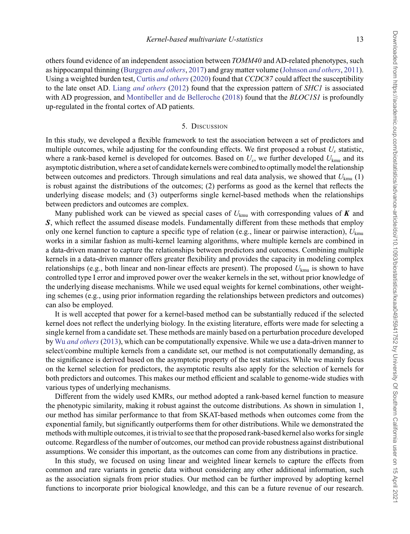others found evidence of an independent association between *TOMM40* and AD-related phenotypes, such as hippocampal thinning (Burggren *[and others](#page-13-0)*, [2017](#page-13-0)) and gray matter volume (Johnson *[and others](#page-14-0)*, [2011](#page-14-0)). Using a weighted burden test, Curtis *[and others](#page-13-0)* [\(2020\)](#page-13-0) found that *CCDC87* could affect the susceptibility to the late onset AD. Liang *[and others](#page-14-0)* [\(2012](#page-14-0)) found that the expression pattern of *SHC1* is associated with AD progression, and [Montibeller and de Belleroche](#page-14-0) [\(2018\)](#page-14-0) found that the *BLOC1S1* is profoundly up-regulated in the frontal cortex of AD patients.

#### 5. DISCUSSION

In this study, we developed a flexible framework to test the association between a set of predictors and multiple outcomes, while adjusting for the confounding effects. We first proposed a robust  $U_s$  statistic, where a rank-based kernel is developed for outcomes. Based on  $U_s$ , we further developed  $U_{kmn}$  and its asymptotic distribution, where a set of candidate kernels were combined to optimally model the relationship between outcomes and predictors. Through simulations and real data analysis, we showed that  $U_{\text{kmu}}(1)$ is robust against the distributions of the outcomes; (2) performs as good as the kernel that reflects the underlying disease models; and (3) outperforms single kernel-based methods when the relationships between predictors and outcomes are complex.

Many published work can be viewed as special cases of  $U_{\text{kmu}}$  with corresponding values of **K** and *S*, which reflect the assumed disease models. Fundamentally different from these methods that employ only one kernel function to capture a specific type of relation (e.g., linear or pairwise interaction), *U*kmu works in a similar fashion as multi-kernel learning algorithms, where multiple kernels are combined in a data-driven manner to capture the relationships between predictors and outcomes. Combining multiple kernels in a data-driven manner offers greater flexibility and provides the capacity in modeling complex relationships (e.g., both linear and non-linear effects are present). The proposed *U*kmu is shown to have controlled type I error and improved power over the weaker kernels in the set, without prior knowledge of the underlying disease mechanisms. While we used equal weights for kernel combinations, other weighting schemes (e.g., using prior information regarding the relationships between predictors and outcomes) can also be employed.

It is well accepted that power for a kernel-based method can be substantially reduced if the selected kernel does not reflect the underlying biology. In the existing literature, efforts were made for selecting a single kernel from a candidate set. These methods are mainly based on a perturbation procedure developed by Wu *[and others](#page-15-0)* [\(2013\)](#page-15-0), which can be computationally expensive. While we use a data-driven manner to select/combine multiple kernels from a candidate set, our method is not computationally demanding, as the significance is derived based on the asymptotic property of the test statistics. While we mainly focus on the kernel selection for predictors, the asymptotic results also apply for the selection of kernels for both predictors and outcomes. This makes our method efficient and scalable to genome-wide studies with various types of underlying mechanisms.

Different from the widely used KMRs, our method adopted a rank-based kernel function to measure the phenotypic similarity, making it robust against the outcome distributions. As shown in simulation 1, our method has similar performance to that from SKAT-based methods when outcomes come from the exponential family, but significantly outperforms them for other distributions. While we demonstrated the methods with multiple outcomes, it is trivial to see that the proposed rank-based kernel also works for single outcome. Regardless of the number of outcomes, our method can provide robustness against distributional assumptions. We consider this important, as the outcomes can come from any distributions in practice.

In this study, we focused on using linear and weighted linear kernels to capture the effects from common and rare variants in genetic data without considering any other additional information, such as the association signals from prior studies. Our method can be further improved by adopting kernel functions to incorporate prior biological knowledge, and this can be a future revenue of our research.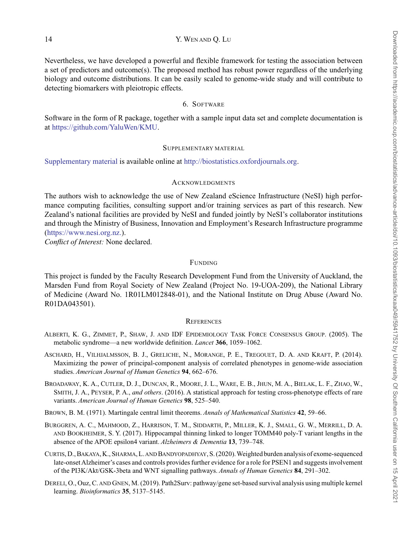<span id="page-13-0"></span>14 Y. WEN AND Q. LU

Nevertheless, we have developed a powerful and flexible framework for testing the association between a set of predictors and outcome(s). The proposed method has robust power regardless of the underlying biology and outcome distributions. It can be easily scaled to genome-wide study and will contribute to detecting biomarkers with pleiotropic effects.

## 6. SOFTWARE

Software in the form of R package, together with a sample input data set and complete documentation is at [https://github.com/YaluWen/KMU.](https://github.com/YaluWen/KMU)

## SUPPLEMENTARY MATERIAL

[Supplementary material](https://academic.oup.com/biostatistics/article-lookup/doi/10.1093/biostatistics/kxaa049#supplementary-data) is available online at [http://biostatistics.oxfordjournals.org.](http://biostatistics.oxfordjournals.org)

## ACKNOWLEDGMENTS

The authors wish to acknowledge the use of New Zealand eScience Infrastructure (NeSI) high performance computing facilities, consulting support and/or training services as part of this research. New Zealand's national facilities are provided by NeSI and funded jointly by NeSI's collaborator institutions and through the Ministry of Business, Innovation and Employment's Research Infrastructure programme [\(https://www.nesi.org.nz.\)](https://www.nesi.org.nz.).

*Conflict of Interest:* None declared.

## FUNDING

This project is funded by the Faculty Research Development Fund from the University of Auckland, the Marsden Fund from Royal Society of New Zealand (Project No. 19-UOA-209), the National Library of Medicine (Award No. 1R01LM012848-01), and the National Institute on Drug Abuse (Award No. R01DA043501).

## **REFERENCES**

- ALBERTI, K. G., ZIMMET, P., SHAW, J. AND IDF EPIDEMIOLOGY TASK FORCE CONSENSUS GROUP. (2005). The metabolic syndrome—a new worldwide definition. *Lancet* **366**, 1059–1062.
- ASCHARD, H., VILHJALMSSON, B. J., GRELICHE, N., MORANGE, P. E., TREGOUET, D. A. AND KRAFT, P. (2014). Maximizing the power of principal-component analysis of correlated phenotypes in genome-wide association studies. *American Journal of Human Genetics* **94**, 662–676.
- BROADAWAY, K. A., CUTLER, D. J., DUNCAN, R., MOORE, J. L., WARE, E. B., JHUN, M. A., BIELAK, L. F., ZHAO, W., SMITH, J. A., PEYSER, P. A., *and others*. (2016). A statistical approach for testing cross-phenotype effects of rare variants. *American Journal of Human Genetics* **98**, 525–540.
- BROWN, B. M. (1971). Martingale central limit theorems. *Annals of Mathematical Statistics* **42**, 59–66.
- BURGGREN, A. C., MAHMOOD, Z., HARRISON, T. M., SIDDARTH, P., MILLER, K. J., SMALL, G. W., MERRILL, D. A. AND BOOKHEIMER, S. Y. (2017). Hippocampal thinning linked to longer TOMM40 poly-T variant lengths in the absence of the APOE epsilon4 variant. *Alzheimers & Dementia* **13**, 739–748.
- CURTIS, D., BAKAYA, K., SHARMA, L. AND BANDYOPADHYAY, S. (2020). Weighted burden analysis of exome-sequenced late-onset Alzheimer's cases and controls provides further evidence for a role for PSEN1 and suggests involvement of the PI3K/Akt/GSK-3beta and WNT signalling pathways. *Annals of Human Genetics* **84**, 291–302.
- DERELI, O., Ouz, C. AND GNEN, M. (2019). Path2Surv: pathway/gene set-based survival analysis using multiple kernel learning. *Bioinformatics* **35**, 5137–5145.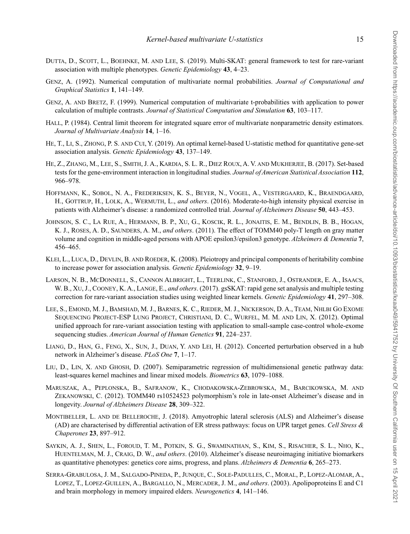- <span id="page-14-0"></span>DUTTA, D., SCOTT, L., BOEHNKE, M. AND LEE, S. (2019). Multi-SKAT: general framework to test for rare-variant association with multiple phenotypes. *Genetic Epidemiology* **43**, 4–23.
- GENZ, A. (1992). Numerical computation of multivariate normal probabilities. *Journal of Computational and Graphical Statistics* **1**, 141–149.
- GENZ, A. AND BRETZ, F. (1999). Numerical computation of multivariate t-probabilities with application to power calculation of multiple contrasts. *Journal of Statistical Computation and Simulation* **63**, 103–117.
- HALL, P. (1984). Central limit theorem for integrated square error of multivariate nonparametric density estimators. *Journal of Multivariate Analysis* **14**, 1–16.
- HE, T., LI, S., ZHONG, P. S. AND CUI, Y. (2019). An optimal kernel-based U-statistic method for quantitative gene-set association analysis. *Genetic Epidemiology* **43**, 137–149.
- HE, Z., ZHANG, M., LEE, S., SMITH, J. A., KARDIA, S. L. R., DIEZ ROUX, A. V. AND MUKHERJEE, B. (2017). Set-based tests for the gene-environment interaction in longitudinal studies. *Journal of American Statistical Association* **112**, 966–978.
- HOFFMANN, K., SOBOL, N. A., FREDERIKSEN, K. S., BEYER, N., VOGEL, A., VESTERGAARD, K., BRAENDGAARD, H., GOTTRUP, H., LOLK, A., WERMUTH, L., *and others*. (2016). Moderate-to-high intensity physical exercise in patients with Alzheimer's disease: a randomized controlled trial. *Journal of Alzheimers Disease* **50**, 443–453.
- JOHNSON, S. C., LA RUE, A., HERMANN, B. P., XU, G., KOSCIK, R. L., JONAITIS, E. M., BENDLIN, B. B., HOGAN, K. J., ROSES, A. D., SAUNDERS, A. M., *and others*. (2011). The effect of TOMM40 poly-T length on gray matter volume and cognition in middle-aged persons with APOE epsilon3/epsilon3 genotype. *Alzheimers & Dementia* **7**, 456–465.
- KLEI, L., LUCA, D., DEVLIN, B. AND ROEDER, K. (2008). Pleiotropy and principal components of heritability combine to increase power for association analysis. *Genetic Epidemiology* **32**, 9–19.
- LARSON, N. B., MCDONNELL, S., CANNON ALBRIGHT, L., TEERLINK, C., STANFORD, J., OSTRANDER, E. A., ISAACS, W. B., XU, J., COONEY, K. A., LANGE, E., *and others*. (2017). gsSKAT: rapid gene set analysis and multiple testing correction for rare-variant association studies using weighted linear kernels. *Genetic Epidemiology* **41**, 297–308.
- LEE, S., EMOND, M. J., BAMSHAD, M. J., BARNES, K. C., RIEDER, M. J., NICKERSON, D. A., TEAM, NHLBI GO EXOME SEQUENCING PROJECT-ESP LUNG PROJECT, CHRISTIANI, D. C., WURFEL, M. M. AND LIN, X. (2012). Optimal unified approach for rare-variant association testing with application to small-sample case-control whole-exome sequencing studies. *American Journal of Human Genetics* **91**, 224–237.
- LIANG, D., HAN, G., FENG, X., SUN, J., DUAN, Y. AND LEI, H. (2012). Concerted perturbation observed in a hub network in Alzheimer's disease. *PLoS One* **7**, 1–17.
- LIU, D., LIN, X. AND GHOSH, D. (2007). Semiparametric regression of multidimensional genetic pathway data: least-squares kernel machines and linear mixed models. *Biometrics* **63**, 1079–1088.
- MARUSZAK, A., PEPLONSKA, B., SAFRANOW, K., CHODAKOWSKA-ZEBROWSKA, M., BARCIKOWSKA, M. AND ZEKANOWSKI, C. (2012). TOMM40 rs10524523 polymorphism's role in late-onset Alzheimer's disease and in longevity. *Journal of Alzheimers Disease* **28**, 309–322.
- MONTIBELLER, L. AND DE BELLEROCHE, J. (2018). Amyotrophic lateral sclerosis (ALS) and Alzheimer's disease (AD) are characterised by differential activation of ER stress pathways: focus on UPR target genes. *Cell Stress & Chaperones* **23**, 897–912.
- SAYKIN, A. J., SHEN, L., FOROUD, T. M., POTKIN, S. G., SWAMINATHAN, S., KIM, S., RISACHER, S. L., NHO, K., HUENTELMAN, M. J., CRAIG, D. W., *and others*. (2010). Alzheimer's disease neuroimaging initiative biomarkers as quantitative phenotypes: genetics core aims, progress, and plans. *Alzheimers & Dementia* **6**, 265–273.
- SERRA-GRABULOSA, J. M., SALGADO-PINEDA, P., JUNQUE, C., SOLE-PADULLES, C., MORAL, P., LOPEZ-ALOMAR, A., LOPEZ, T., LOPEZ-GUILLEN, A., BARGALLO, N., MERCADER, J. M., *and others*. (2003). Apolipoproteins E and C1 and brain morphology in memory impaired elders. *Neurogenetics* **4**, 141–146.